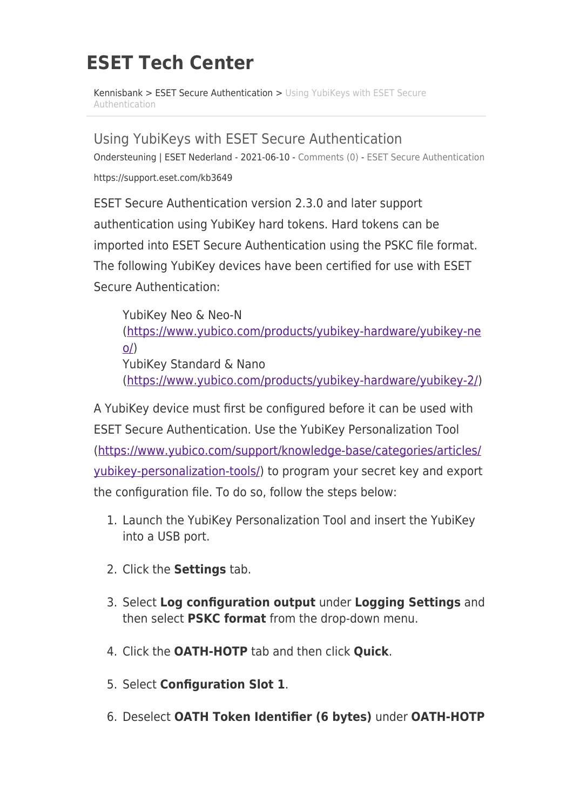## **ESET Tech Center**

[Kennisbank](https://techcenter.eset.nl/nl/kb) > [ESET Secure Authentication](https://techcenter.eset.nl/nl/kb/eset-secure-authentication) > [Using YubiKeys with ESET Secure](https://techcenter.eset.nl/nl/kb/articles/using-yubikeys-with-eset-secure-authentication) [Authentication](https://techcenter.eset.nl/nl/kb/articles/using-yubikeys-with-eset-secure-authentication)

Using YubiKeys with ESET Secure Authentication Ondersteuning | ESET Nederland - 2021-06-10 - [Comments \(0\)](#page--1-0) - [ESET Secure Authentication](https://techcenter.eset.nl/nl/kb/eset-secure-authentication) https://support.eset.com/kb3649

ESET Secure Authentication version 2.3.0 and later support authentication using YubiKey hard tokens. Hard tokens can be imported into ESET Secure Authentication using the PSKC file format. The following YubiKey devices have been certified for use with ESET Secure Authentication:

YubiKey Neo & Neo-N ([https://www.yubico.com/products/yubikey-hardware/yubikey-ne](https://www.yubico.com/products/yubikey-hardware/yubikey-neo/)  $O()$ YubiKey Standard & Nano ([https://www.yubico.com/products/yubikey-hardware/yubikey-2/\)](https://www.yubico.com/products/yubikey-hardware/yubikey-2/)

A YubiKey device must first be configured before it can be used with ESET Secure Authentication. Use the YubiKey Personalization Tool ([https://www.yubico.com/support/knowledge-base/categories/articles/](https://www.yubico.com/support/knowledge-base/categories/articles/yubikey-personalization-tools/) [yubikey-personalization-tools/](https://www.yubico.com/support/knowledge-base/categories/articles/yubikey-personalization-tools/)) to program your secret key and export the configuration file. To do so, follow the steps below:

- 1. Launch the YubiKey Personalization Tool and insert the YubiKey into a USB port.
- 2. Click the **Settings** tab.
- 3. Select **Log configuration output** under **Logging Settings** and then select **PSKC format** from the drop-down menu.
- 4. Click the **OATH-HOTP** tab and then click **Quick**.
- 5. Select **Configuration Slot 1**.
- 6. Deselect **OATH Token Identifier (6 bytes)** under **OATH-HOTP**